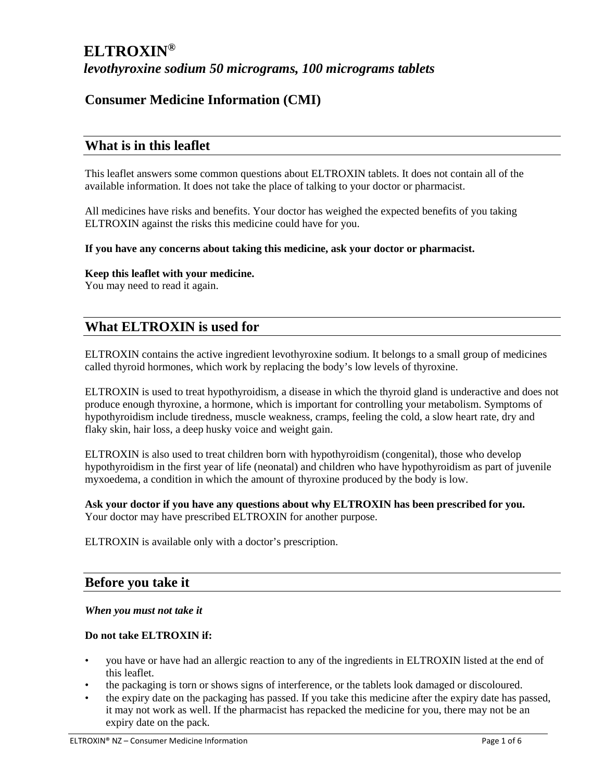# **Consumer Medicine Information (CMI)**

# **What is in this leaflet**

This leaflet answers some common questions about ELTROXIN tablets. It does not contain all of the available information. It does not take the place of talking to your doctor or pharmacist.

All medicines have risks and benefits. Your doctor has weighed the expected benefits of you taking ELTROXIN against the risks this medicine could have for you.

#### **If you have any concerns about taking this medicine, ask your doctor or pharmacist.**

## **Keep this leaflet with your medicine.**

You may need to read it again.

# **What ELTROXIN is used for**

ELTROXIN contains the active ingredient levothyroxine sodium. It belongs to a small group of medicines called thyroid hormones, which work by replacing the body's low levels of thyroxine.

ELTROXIN is used to treat hypothyroidism, a disease in which the thyroid gland is underactive and does not produce enough thyroxine, a hormone, which is important for controlling your metabolism. Symptoms of hypothyroidism include tiredness, muscle weakness, cramps, feeling the cold, a slow heart rate, dry and flaky skin, hair loss, a deep husky voice and weight gain.

ELTROXIN is also used to treat children born with hypothyroidism (congenital), those who develop hypothyroidism in the first year of life (neonatal) and children who have hypothyroidism as part of juvenile myxoedema, a condition in which the amount of thyroxine produced by the body is low.

**Ask your doctor if you have any questions about why ELTROXIN has been prescribed for you.**  Your doctor may have prescribed ELTROXIN for another purpose.

ELTROXIN is available only with a doctor's prescription.

## **Before you take it**

#### *When you must not take it*

## **Do not take ELTROXIN if:**

- you have or have had an allergic reaction to any of the ingredients in ELTROXIN listed at the end of this leaflet.
- the packaging is torn or shows signs of interference, or the tablets look damaged or discoloured.
- the expiry date on the packaging has passed. If you take this medicine after the expiry date has passed, it may not work as well. If the pharmacist has repacked the medicine for you, there may not be an expiry date on the pack.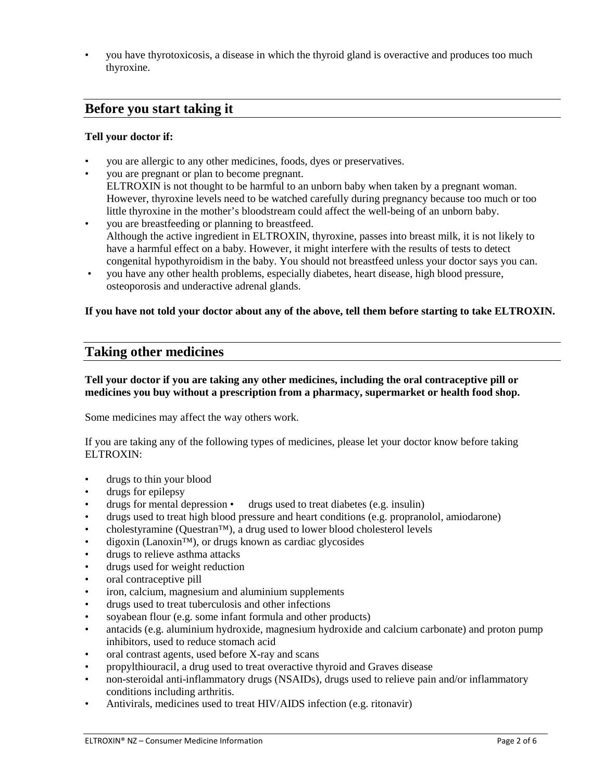• you have thyrotoxicosis, a disease in which the thyroid gland is overactive and produces too much thyroxine.

## **Before you start taking it**

## **Tell your doctor if:**

- you are allergic to any other medicines, foods, dyes or preservatives.
- you are pregnant or plan to become pregnant. ELTROXIN is not thought to be harmful to an unborn baby when taken by a pregnant woman. However, thyroxine levels need to be watched carefully during pregnancy because too much or too little thyroxine in the mother's bloodstream could affect the well-being of an unborn baby.
- you are breastfeeding or planning to breastfeed. Although the active ingredient in ELTROXIN, thyroxine, passes into breast milk, it is not likely to have a harmful effect on a baby. However, it might interfere with the results of tests to detect congenital hypothyroidism in the baby. You should not breastfeed unless your doctor says you can.
- you have any other health problems, especially diabetes, heart disease, high blood pressure, osteoporosis and underactive adrenal glands.

## **If you have not told your doctor about any of the above, tell them before starting to take ELTROXIN.**

## **Taking other medicines**

## **Tell your doctor if you are taking any other medicines, including the oral contraceptive pill or medicines you buy without a prescription from a pharmacy, supermarket or health food shop.**

Some medicines may affect the way others work.

If you are taking any of the following types of medicines, please let your doctor know before taking ELTROXIN:

- drugs to thin your blood
- drugs for epilepsy
- drugs for mental depression drugs used to treat diabetes (e.g. insulin)
- drugs used to treat high blood pressure and heart conditions (e.g. propranolol, amiodarone)
- cholestyramine (Questran™), a drug used to lower blood cholesterol levels
- $\alpha$  digoxin (Lanoxin<sup>™</sup>), or drugs known as cardiac glycosides
- drugs to relieve asthma attacks
- drugs used for weight reduction
- oral contraceptive pill
- iron, calcium, magnesium and aluminium supplements
- drugs used to treat tuberculosis and other infections
- soyabean flour (e.g. some infant formula and other products)
- antacids (e.g. aluminium hydroxide, magnesium hydroxide and calcium carbonate) and proton pump inhibitors, used to reduce stomach acid
- oral contrast agents, used before X-ray and scans
- propylthiouracil, a drug used to treat overactive thyroid and Graves disease
- non-steroidal anti-inflammatory drugs (NSAIDs), drugs used to relieve pain and/or inflammatory conditions including arthritis.
- Antivirals, medicines used to treat HIV/AIDS infection (e.g. ritonavir)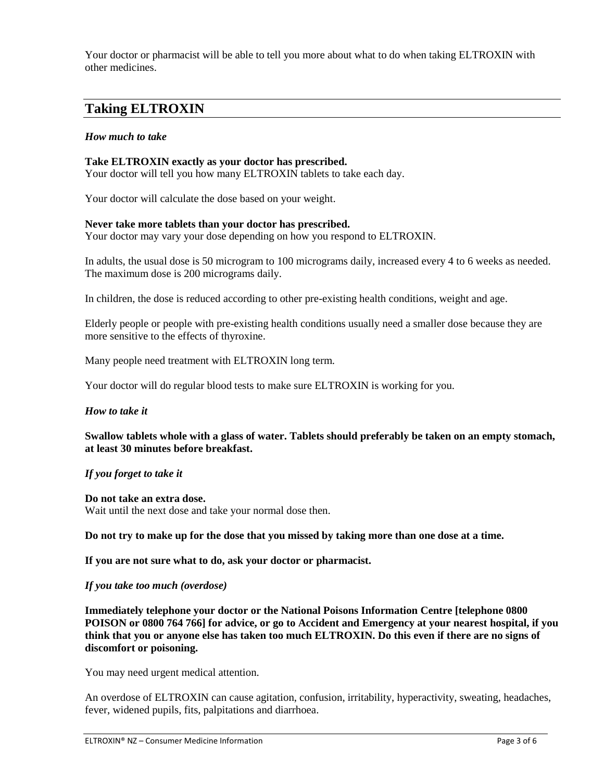Your doctor or pharmacist will be able to tell you more about what to do when taking ELTROXIN with other medicines.

# **Taking ELTROXIN**

## *How much to take*

## **Take ELTROXIN exactly as your doctor has prescribed.**

Your doctor will tell you how many ELTROXIN tablets to take each day.

Your doctor will calculate the dose based on your weight.

#### **Never take more tablets than your doctor has prescribed.**

Your doctor may vary your dose depending on how you respond to ELTROXIN.

In adults, the usual dose is 50 microgram to 100 micrograms daily, increased every 4 to 6 weeks as needed. The maximum dose is 200 micrograms daily.

In children, the dose is reduced according to other pre-existing health conditions, weight and age.

Elderly people or people with pre-existing health conditions usually need a smaller dose because they are more sensitive to the effects of thyroxine.

Many people need treatment with ELTROXIN long term.

Your doctor will do regular blood tests to make sure ELTROXIN is working for you.

#### *How to take it*

**Swallow tablets whole with a glass of water. Tablets should preferably be taken on an empty stomach, at least 30 minutes before breakfast.** 

*If you forget to take it* 

**Do not take an extra dose.** Wait until the next dose and take your normal dose then.

**Do not try to make up for the dose that you missed by taking more than one dose at a time.** 

**If you are not sure what to do, ask your doctor or pharmacist.** 

## *If you take too much (overdose)*

**Immediately telephone your doctor or the National Poisons Information Centre [telephone 0800 POISON or 0800 764 766] for advice, or go to Accident and Emergency at your nearest hospital, if you think that you or anyone else has taken too much ELTROXIN. Do this even if there are no signs of discomfort or poisoning.** 

You may need urgent medical attention.

An overdose of ELTROXIN can cause agitation, confusion, irritability, hyperactivity, sweating, headaches, fever, widened pupils, fits, palpitations and diarrhoea.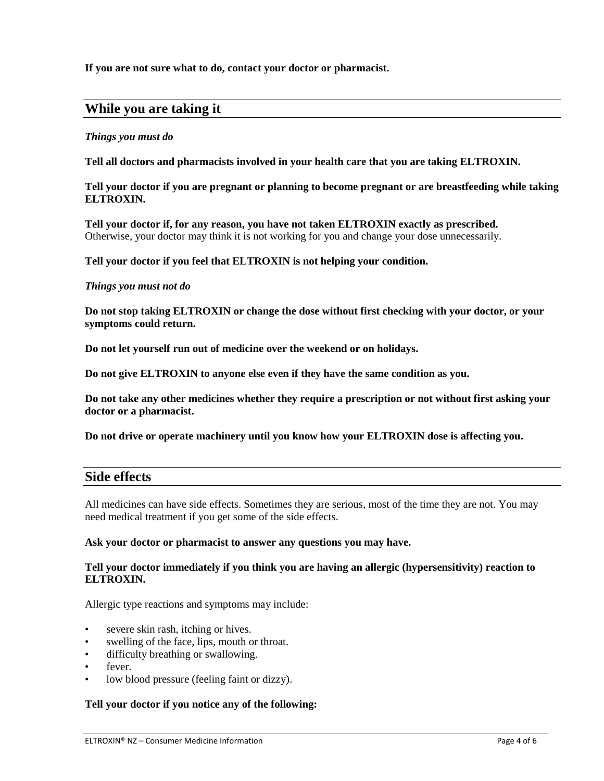**If you are not sure what to do, contact your doctor or pharmacist.** 

## **While you are taking it**

#### *Things you must do*

**Tell all doctors and pharmacists involved in your health care that you are taking ELTROXIN.** 

#### **Tell your doctor if you are pregnant or planning to become pregnant or are breastfeeding while taking ELTROXIN.**

**Tell your doctor if, for any reason, you have not taken ELTROXIN exactly as prescribed.** Otherwise, your doctor may think it is not working for you and change your dose unnecessarily.

#### **Tell your doctor if you feel that ELTROXIN is not helping your condition.**

#### *Things you must not do*

**Do not stop taking ELTROXIN or change the dose without first checking with your doctor, or your symptoms could return.** 

**Do not let yourself run out of medicine over the weekend or on holidays.** 

**Do not give ELTROXIN to anyone else even if they have the same condition as you.** 

**Do not take any other medicines whether they require a prescription or not without first asking your doctor or a pharmacist.** 

**Do not drive or operate machinery until you know how your ELTROXIN dose is affecting you.** 

## **Side effects**

All medicines can have side effects. Sometimes they are serious, most of the time they are not. You may need medical treatment if you get some of the side effects.

#### **Ask your doctor or pharmacist to answer any questions you may have.**

#### **Tell your doctor immediately if you think you are having an allergic (hypersensitivity) reaction to ELTROXIN.**

Allergic type reactions and symptoms may include:

- severe skin rash, itching or hives.
- swelling of the face, lips, mouth or throat.
- difficulty breathing or swallowing.
- fever.
- low blood pressure (feeling faint or dizzy).

## **Tell your doctor if you notice any of the following:**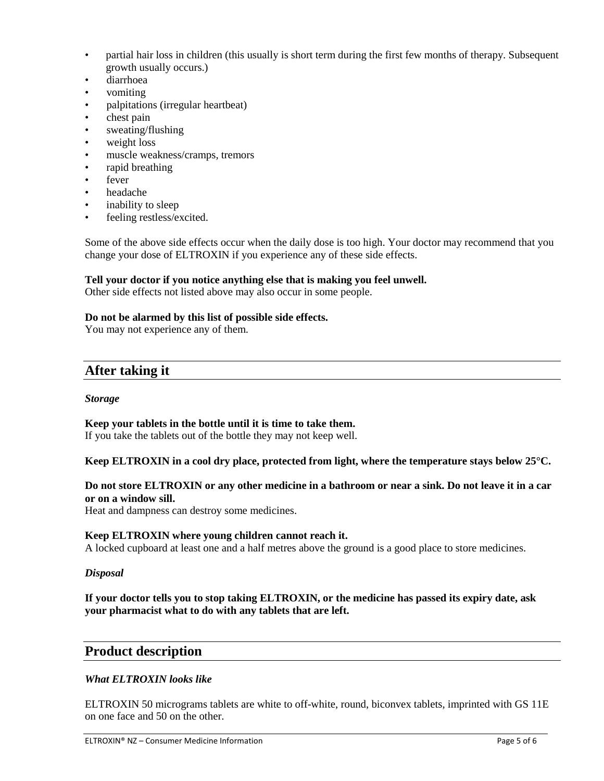- partial hair loss in children (this usually is short term during the first few months of therapy. Subsequent growth usually occurs.)
- diarrhoea
- vomiting
- palpitations (irregular heartbeat)
- chest pain
- sweating/flushing
- weight loss
- muscle weakness/cramps, tremors
- rapid breathing
- fever
- headache
- inability to sleep
- feeling restless/excited.

Some of the above side effects occur when the daily dose is too high. Your doctor may recommend that you change your dose of ELTROXIN if you experience any of these side effects.

## **Tell your doctor if you notice anything else that is making you feel unwell.**

Other side effects not listed above may also occur in some people.

## **Do not be alarmed by this list of possible side effects.**

You may not experience any of them.

## **After taking it**

## *Storage*

## **Keep your tablets in the bottle until it is time to take them.**

If you take the tablets out of the bottle they may not keep well.

## **Keep ELTROXIN in a cool dry place, protected from light, where the temperature stays below 25°C.**

## **Do not store ELTROXIN or any other medicine in a bathroom or near a sink. Do not leave it in a car or on a window sill.**

Heat and dampness can destroy some medicines.

## **Keep ELTROXIN where young children cannot reach it.**

A locked cupboard at least one and a half metres above the ground is a good place to store medicines.

## *Disposal*

## **If your doctor tells you to stop taking ELTROXIN, or the medicine has passed its expiry date, ask your pharmacist what to do with any tablets that are left.**

## **Product description**

## *What ELTROXIN looks like*

ELTROXIN 50 micrograms tablets are white to off-white, round, biconvex tablets, imprinted with GS 11E on one face and 50 on the other.